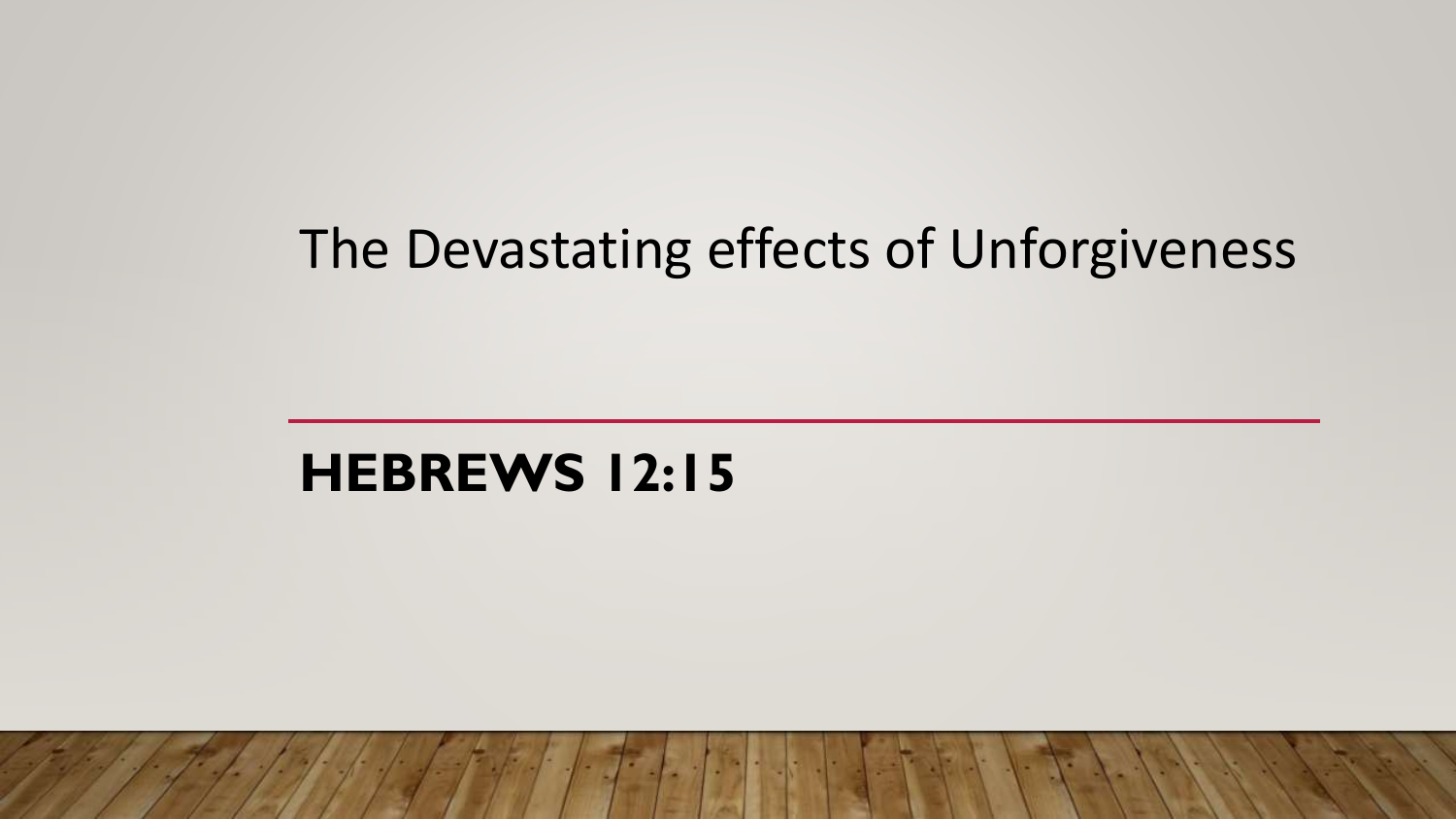### The Devastating effects of Unforgiveness

### **HEBREWS 12:15**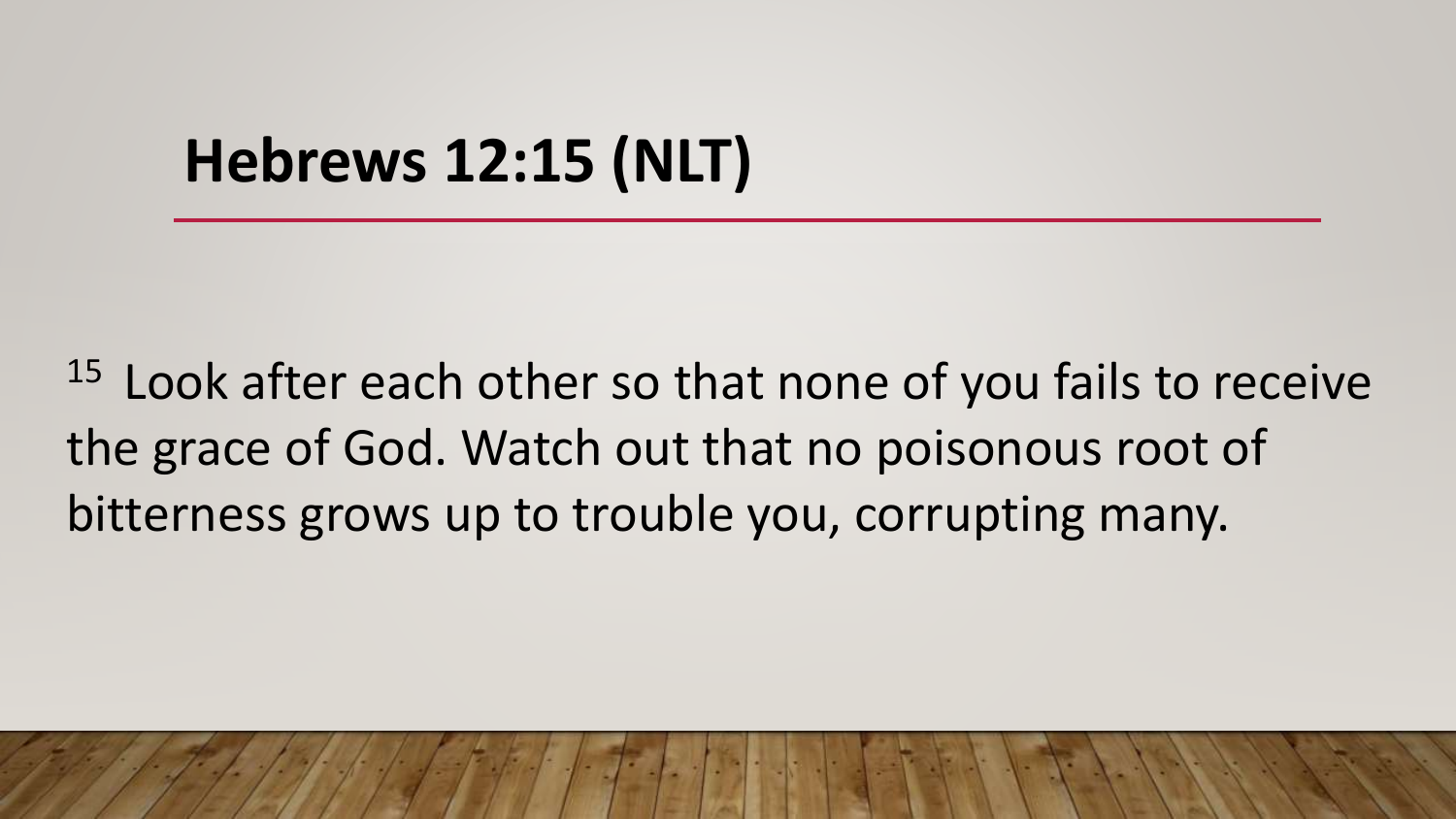## **Hebrews 12:15 (NLT)**

 $15$  Look after each other so that none of you fails to receive the grace of God. Watch out that no poisonous root of bitterness grows up to trouble you, corrupting many.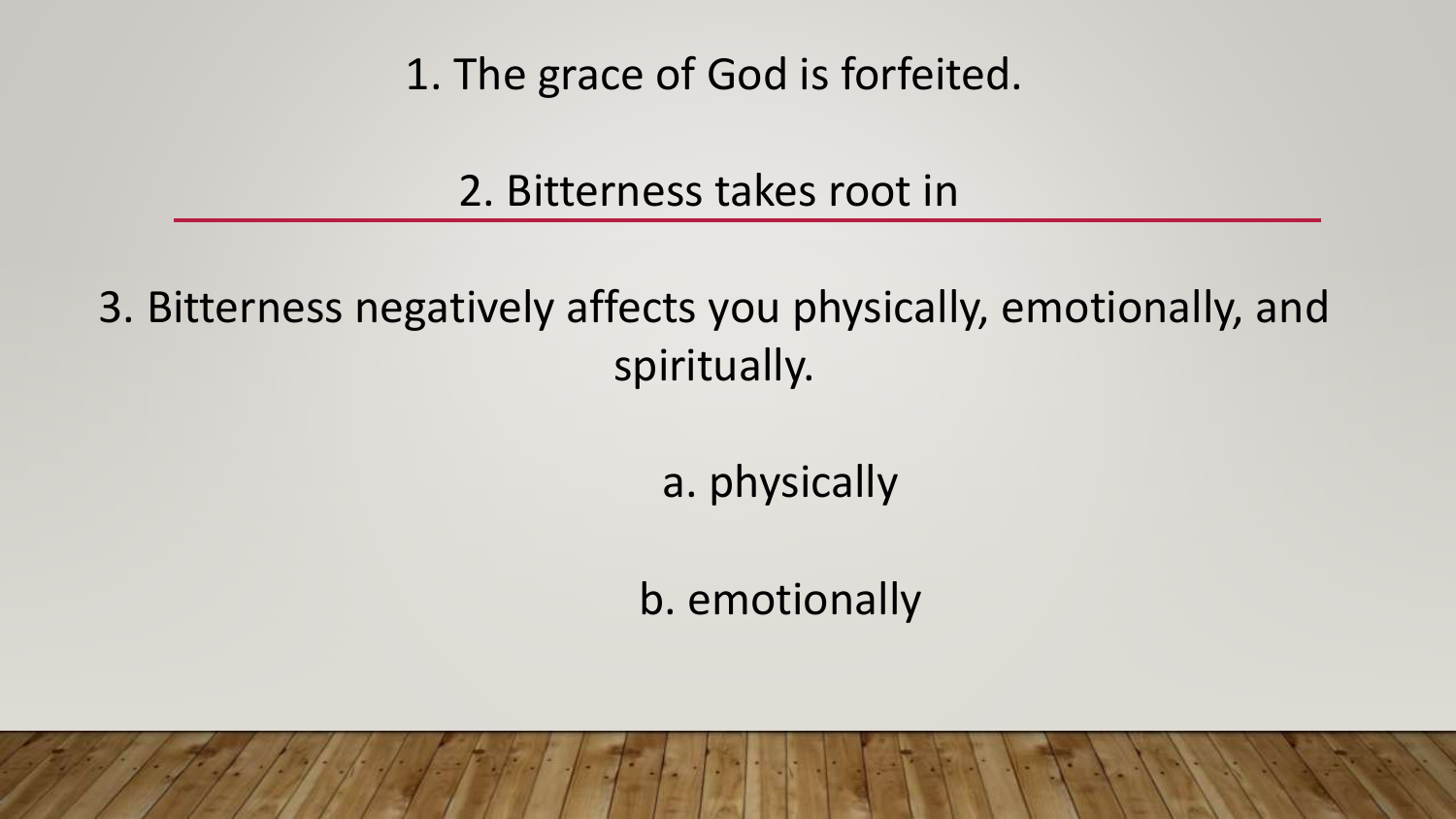1. The grace of God is forfeited.

2. Bitterness takes root in

3. Bitterness negatively affects you physically, emotionally, and spiritually.

a. physically

b. emotionally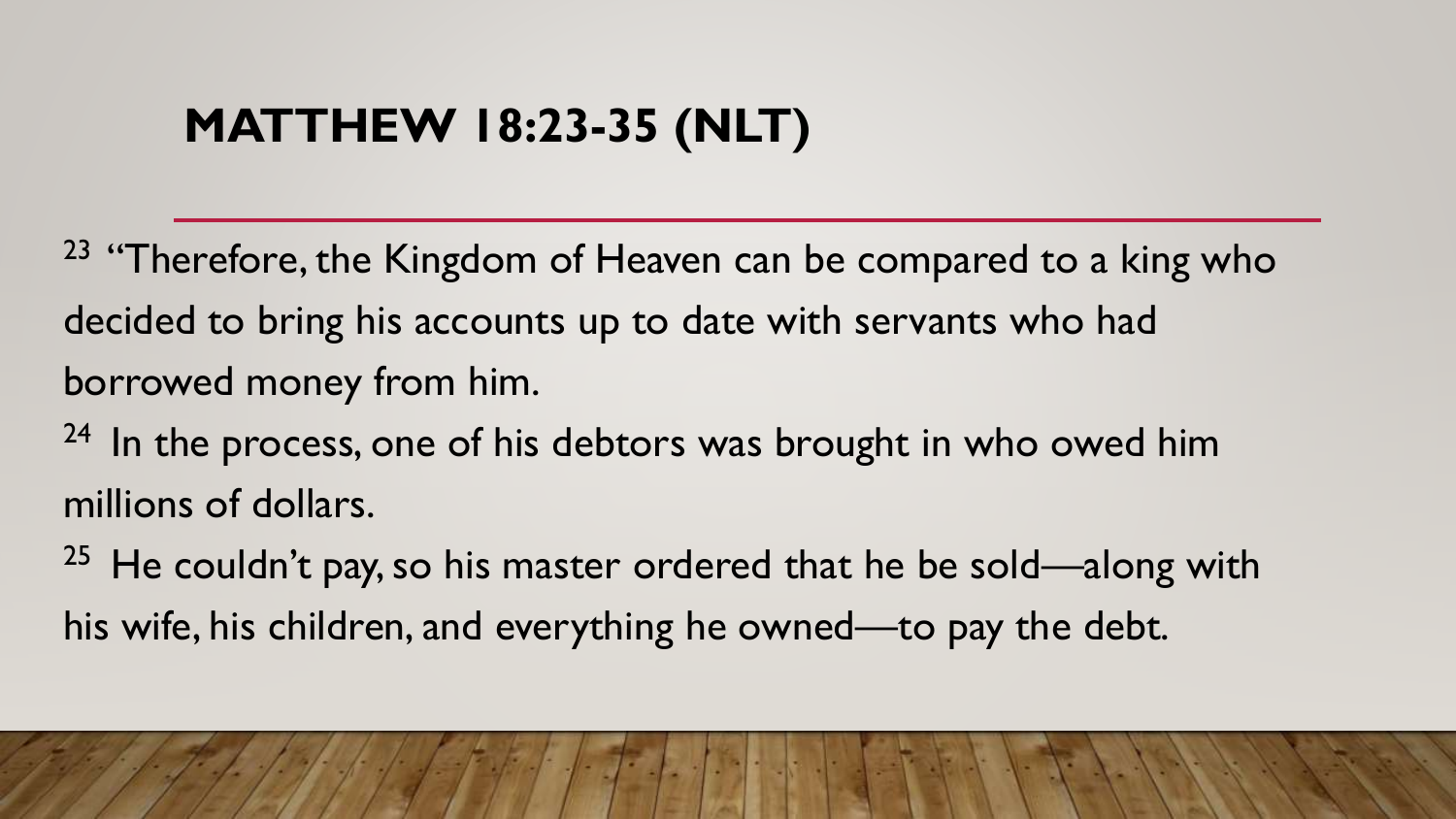### **MATTHEW 18:23-35 (NLT)**

 $23$  "Therefore, the Kingdom of Heaven can be compared to a king who decided to bring his accounts up to date with servants who had borrowed money from him.

 $24$  In the process, one of his debtors was brought in who owed him millions of dollars.

<sup>25</sup> He couldn't pay, so his master ordered that he be sold—along with his wife, his children, and everything he owned—to pay the debt.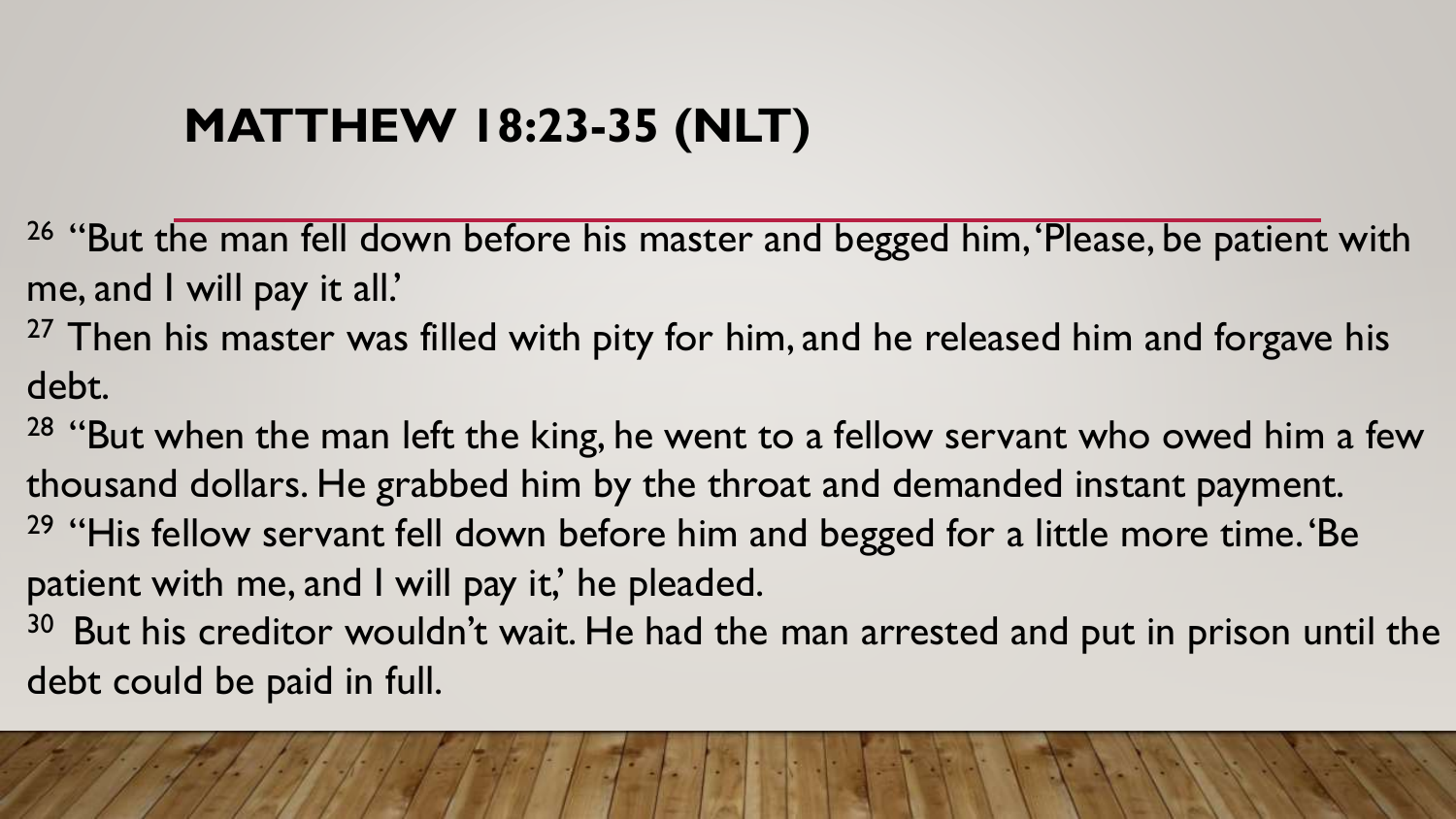### **MATTHEW 18:23-35 (NLT)**

<sup>26</sup> "But the man fell down before his master and begged him, 'Please, be patient with me, and I will pay it all.'

<sup>27</sup> Then his master was filled with pity for him, and he released him and forgave his debt.

<sup>28</sup> "But when the man left the king, he went to a fellow servant who owed him a few thousand dollars. He grabbed him by the throat and demanded instant payment. <sup>29</sup> "His fellow servant fell down before him and begged for a little more time. 'Be patient with me, and I will pay it,' he pleaded.

<sup>30</sup> But his creditor wouldn't wait. He had the man arrested and put in prison until the debt could be paid in full.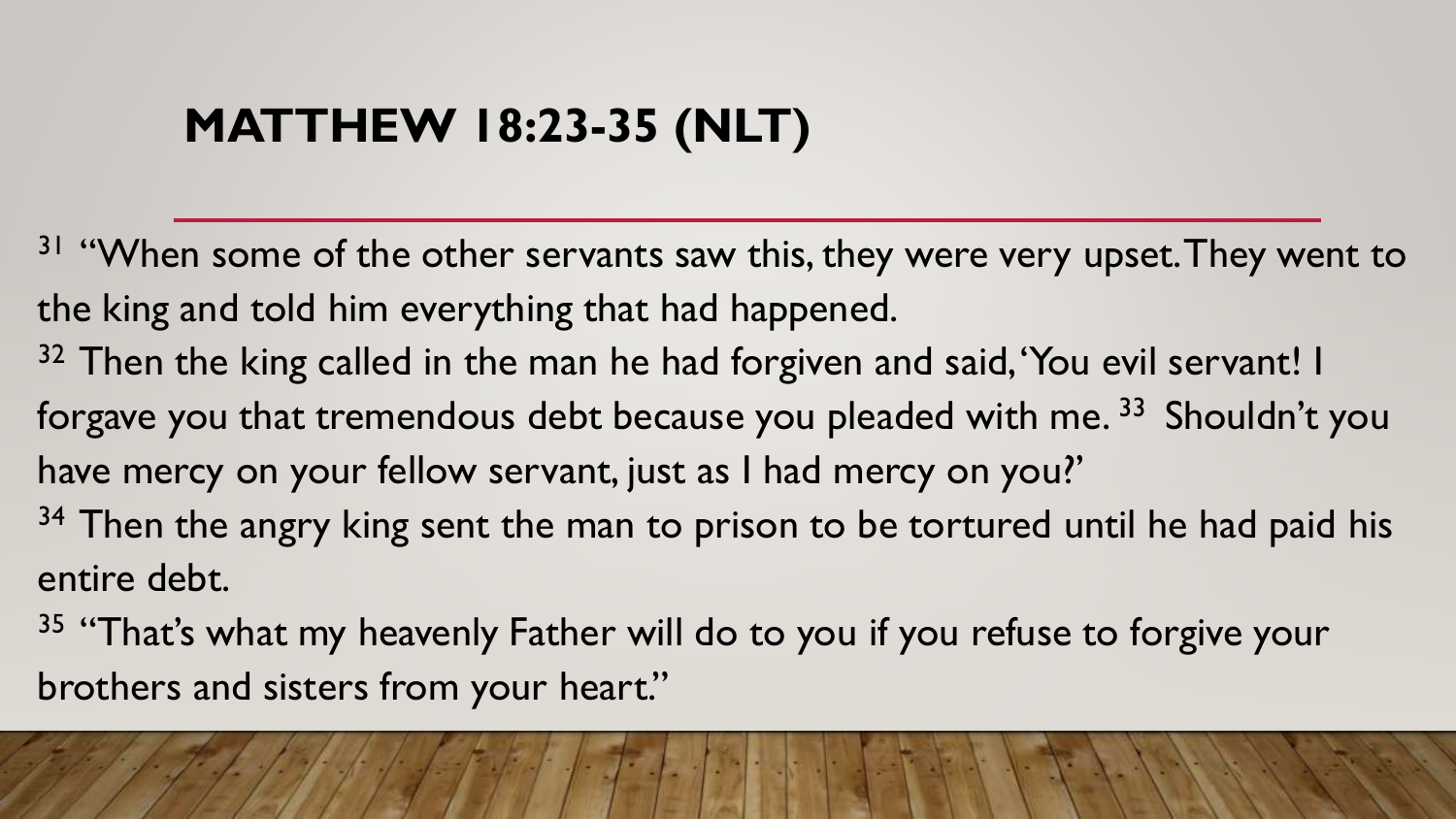### **MATTHEW 18:23-35 (NLT)**

- <sup>31</sup> "When some of the other servants saw this, they were very upset. They went to the king and told him everything that had happened.
- <sup>32</sup> Then the king called in the man he had forgiven and said, 'You evil servant! I forgave you that tremendous debt because you pleaded with me.<sup>33</sup> Shouldn't you have mercy on your fellow servant, just as I had mercy on you?'
- $34$  Then the angry king sent the man to prison to be tortured until he had paid his entire debt.
- <sup>35</sup> "That's what my heavenly Father will do to you if you refuse to forgive your brothers and sisters from your heart."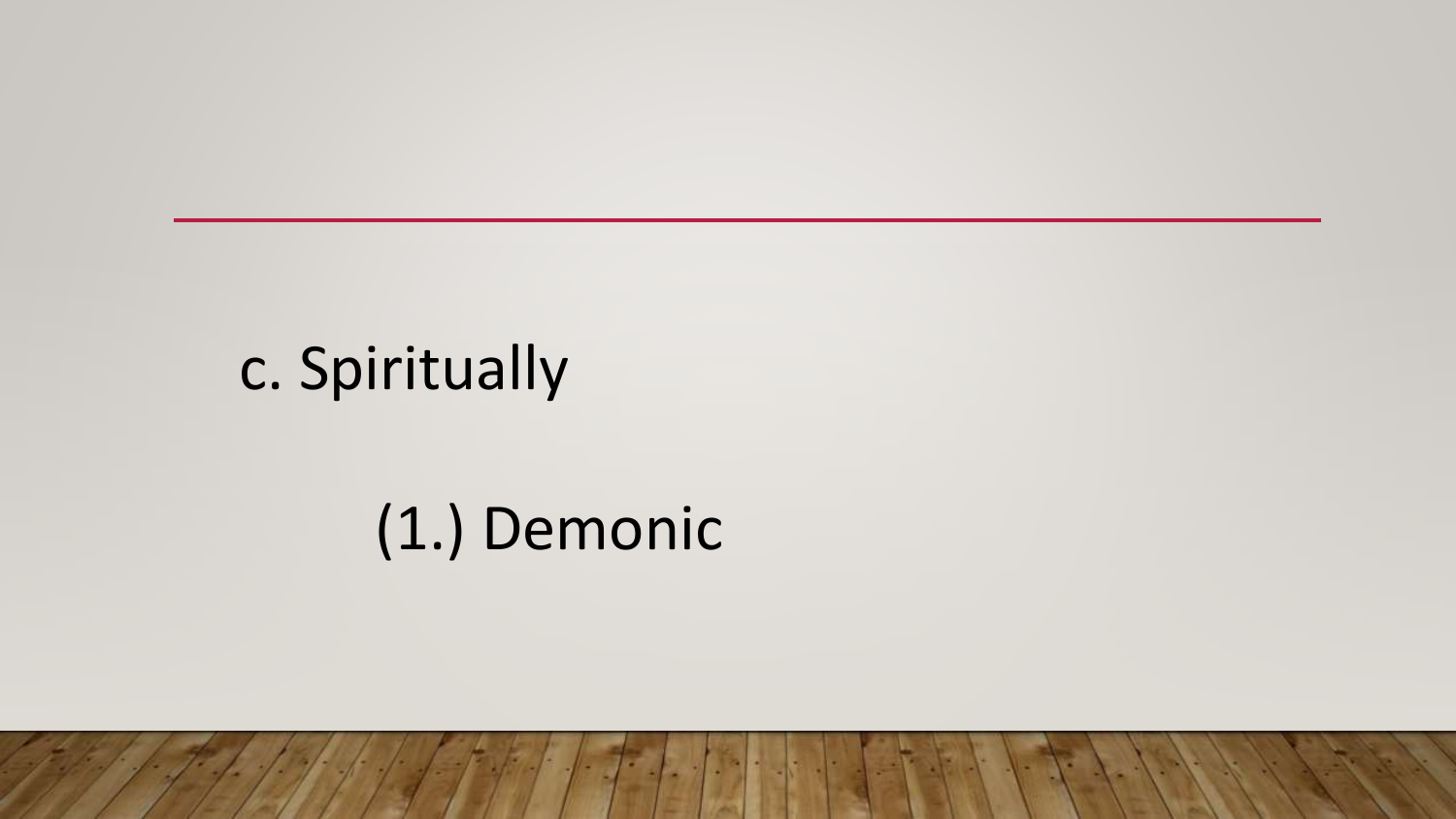# c. Spiritually

### (1.) Demonic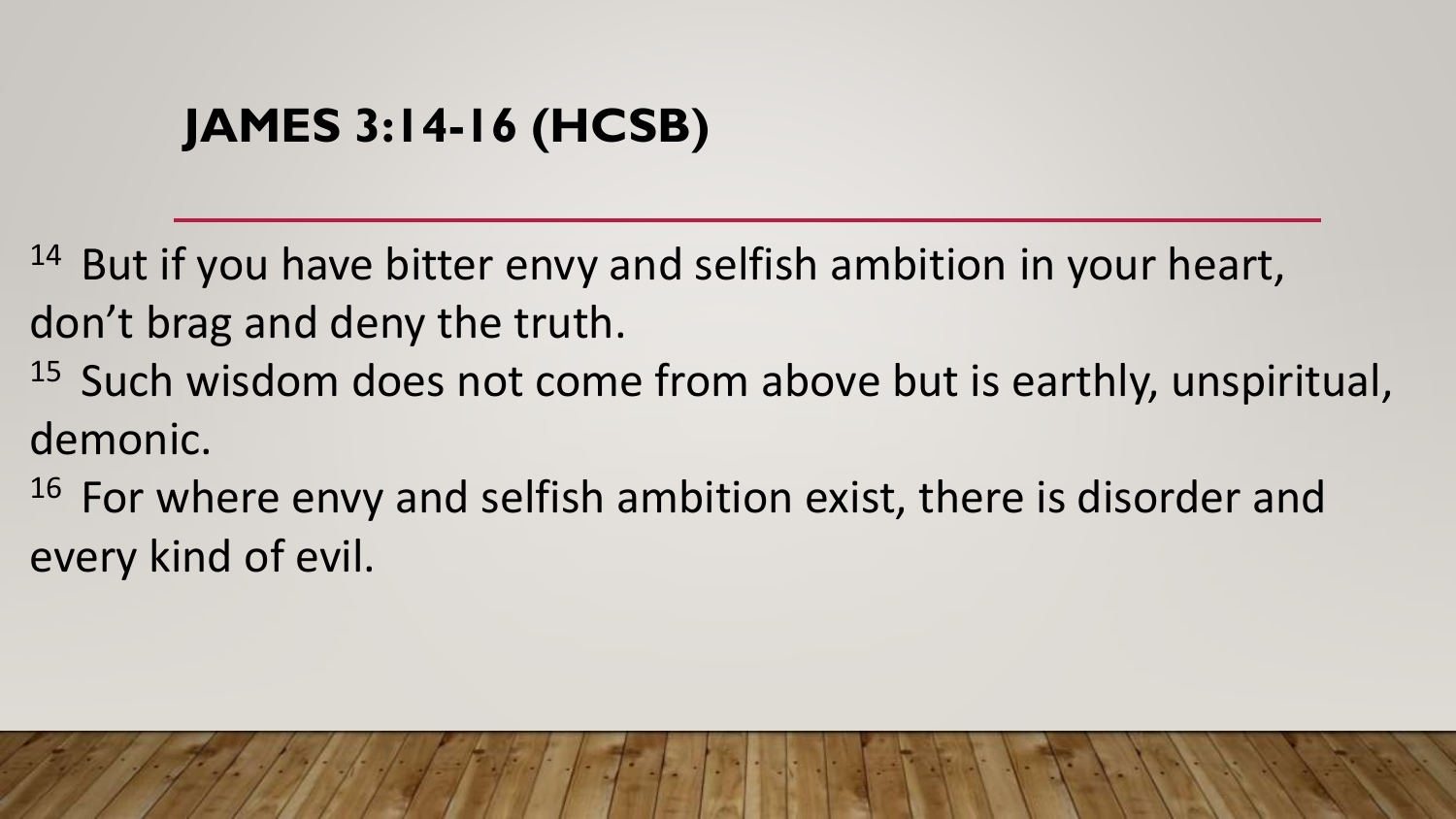### **JAMES 3:14-16 (HCSB)**

 $14$  But if you have bitter envy and selfish ambition in your heart, don't brag and deny the truth.

 $15$  Such wisdom does not come from above but is earthly, unspiritual, demonic.

 $16$  For where envy and selfish ambition exist, there is disorder and every kind of evil.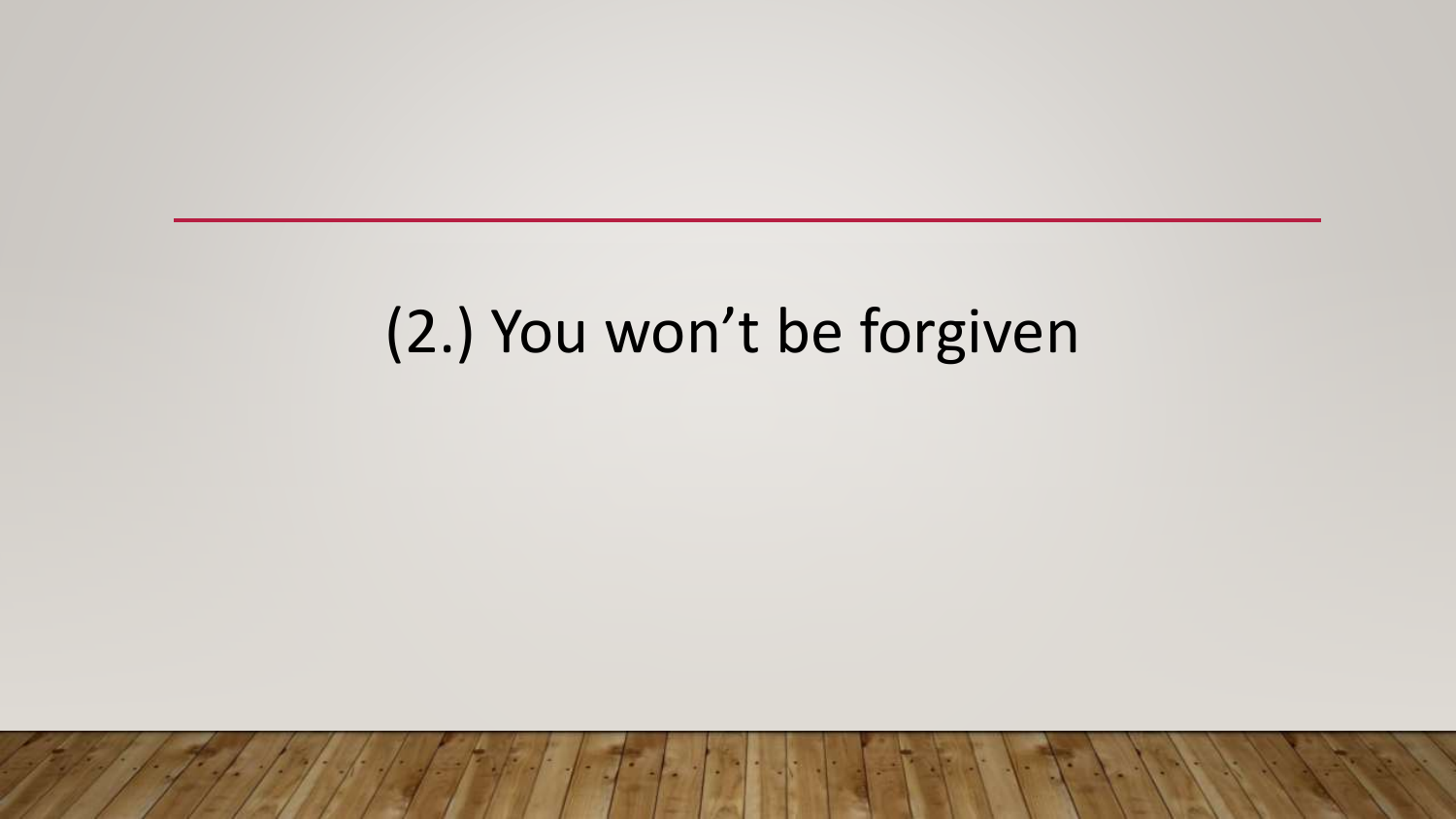# (2.) You won't be forgiven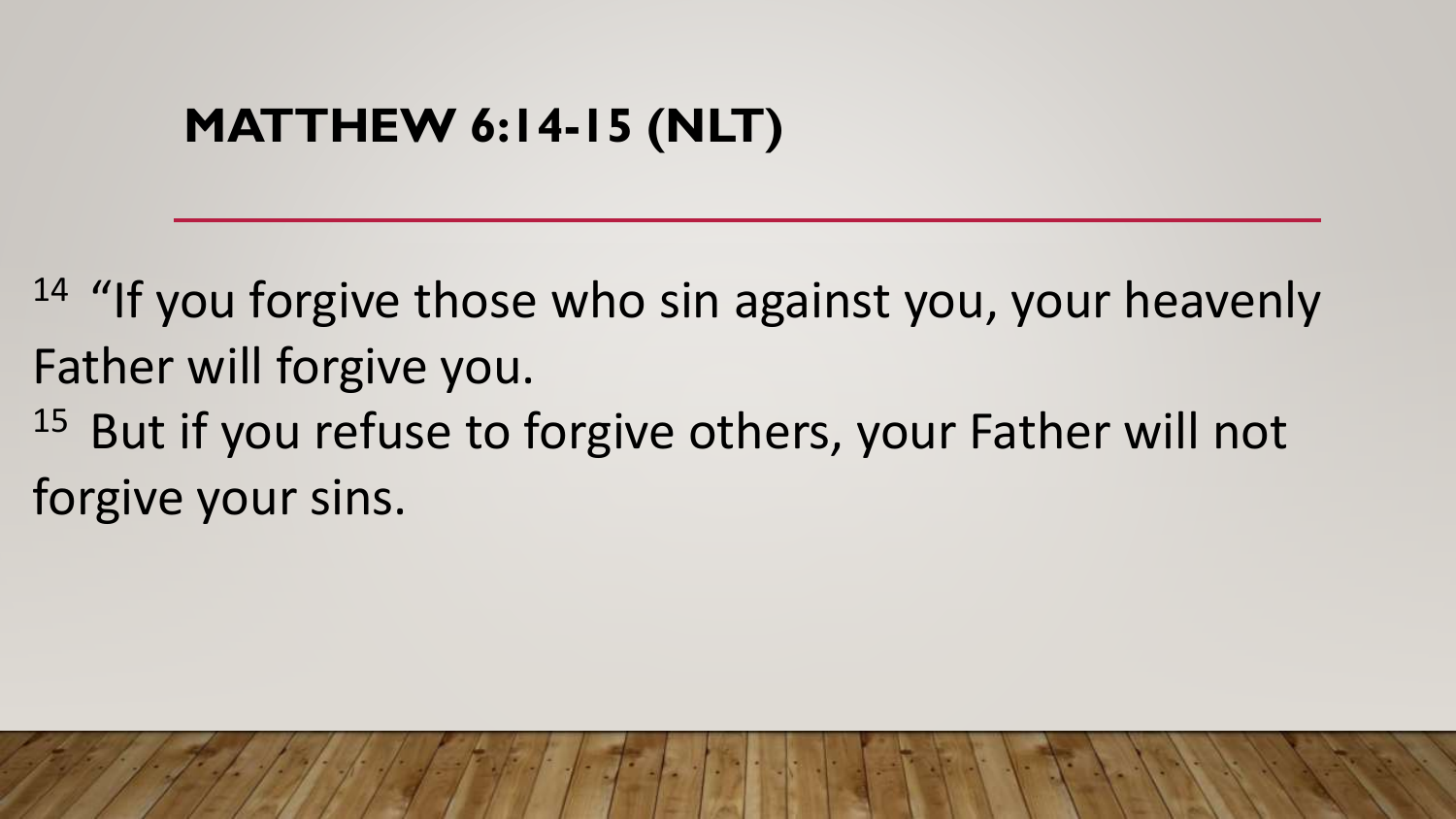#### **MATTHEW 6:14-15 (NLT)**

<sup>14</sup> "If you forgive those who sin against you, your heavenly Father will forgive you.

 $15$  But if you refuse to forgive others, your Father will not forgive your sins.